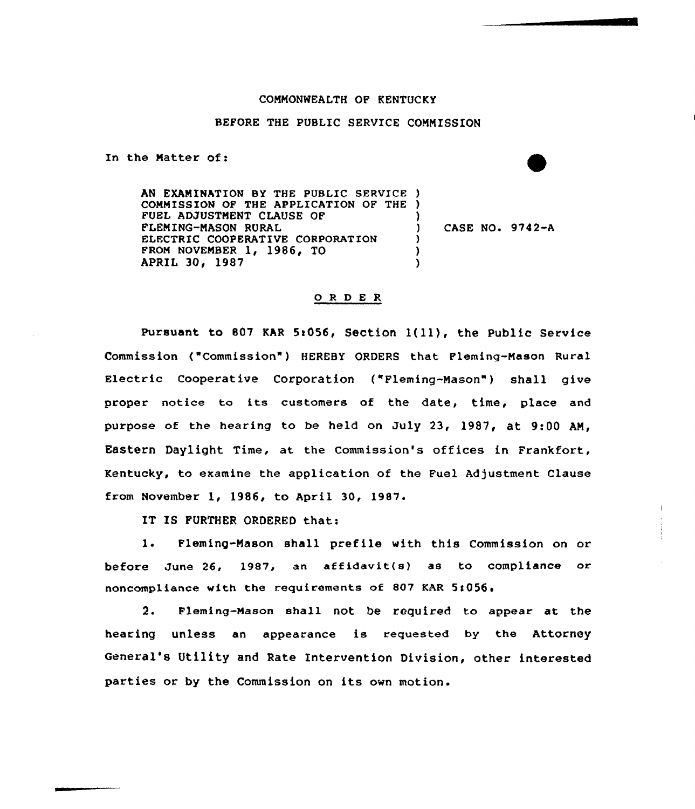## COMNONNEAITH OF KENTUCKY

## BEFORE THE PUBLIC SERVICE COMMISSION

In the Natter of:

AN EXAMINATION BY THE PUBLIC SERVICE ) COMMISSION OF THE APPLICATION OF THE ) FUEL ADJUSTMENT CLAUSE OF FLEMING-MASON RURAL ELECTRIC COOPERATIVE CORPORATION FROM NOVEMBER 1, 1986, TO APRIL 30, 1987 ) ) CASE NO» 9742-A ) )  $\lambda$ 

## 0 R <sup>D</sup> E R

Pursuant to 807 KAR 5:056, Section 1(11), the Public Service Commission ("Commission" ) HEREBY ORDERS that Fleming-Mason Rural Electric Cooperative Corporation ("Fleming-Mason") shall give proper notice to its customers of the date, time, place and purpose of the hearing to be held on July 23, 1987, at  $9:00$  AM, Eastern Daylight Time, at the Commission's offices in Frankfort, Kentucky, to examine the application of the Fuel Adjustment Clause from November 1, 1986, to April 30, l987.

IT IS FURTHER ORDERED that:

 $1.$ Fleming-Mason shall prefile with this Commission on or before June 26, 1987, an affidavit(s) as to compliance or noncompliance with the requirements of 807 KAR 5!056,

2. Fleming-Mason shall not be required to appear at the hearing unless an appearance is requested by the Attorney General's Utility and Rate Intervention Division, other interested parties or by the Commission on its own motion.